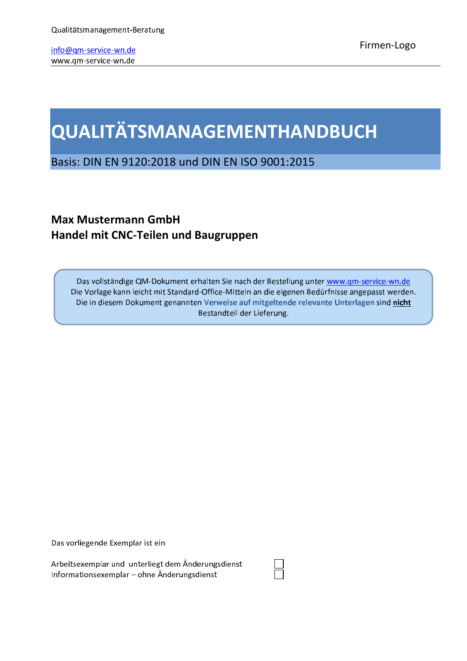# QUALITÄTSMANAGEMENTHANDBUCH

Basis: DIN EN 9120:2018 und DIN EN ISO 9001:2015

## **Max Mustermann GmbH** Handel mit CNC-Teilen und Baugruppen

Das vollständige QM-Dokument erhalten Sie nach der Bestellung unter www.qm-service-wn.de Die Vorlage kann leicht mit Standard-Office-Mitteln an die eigenen Bedürfnisse angepasst werden. Die in diesem Dokument genannten Verweise auf mitgeltende relevante Unterlagen sind nicht Bestandteil der Lieferung.

Das vorliegende Exemplar ist ein

Arbeitsexemplar und unterliegt dem Änderungsdienst Informationsexemplar - ohne Änderungsdienst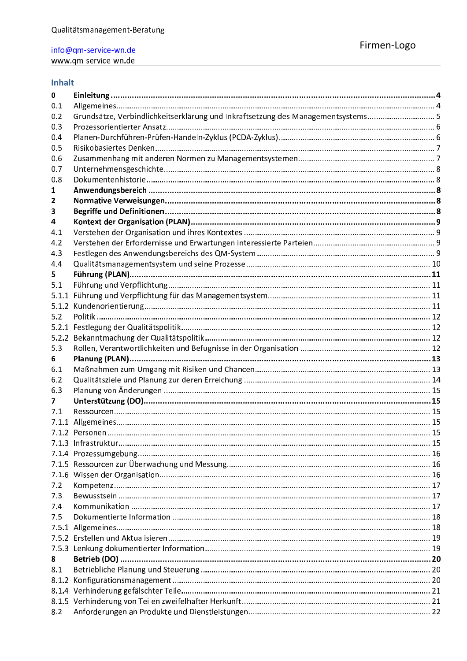### Inhalt

| 0     |                                                                                  |  |
|-------|----------------------------------------------------------------------------------|--|
| 0.1   |                                                                                  |  |
| 0.2   | Grundsätze, Verbindlichkeitserklärung und Inkraftsetzung des Managementsystems 5 |  |
| 0.3   |                                                                                  |  |
| 0.4   |                                                                                  |  |
| 0.5   |                                                                                  |  |
| 0.6   |                                                                                  |  |
| 0.7   |                                                                                  |  |
| 0.8   |                                                                                  |  |
| 1     |                                                                                  |  |
| 2     |                                                                                  |  |
| 3     |                                                                                  |  |
| 4     |                                                                                  |  |
| 4.1   |                                                                                  |  |
| 4.2   |                                                                                  |  |
| 4.3   |                                                                                  |  |
| 4.4   |                                                                                  |  |
| 5.    |                                                                                  |  |
| 5.1   |                                                                                  |  |
| 5.1.1 |                                                                                  |  |
|       |                                                                                  |  |
| 5.2   |                                                                                  |  |
| 5.2.1 |                                                                                  |  |
| 5.2.2 |                                                                                  |  |
| 5.3   |                                                                                  |  |
|       |                                                                                  |  |
| 6     |                                                                                  |  |
| 6.1   |                                                                                  |  |
| 6.2   |                                                                                  |  |
| 6.3   |                                                                                  |  |
| 7     |                                                                                  |  |
| 7.1   |                                                                                  |  |
|       |                                                                                  |  |
|       |                                                                                  |  |
|       |                                                                                  |  |
|       |                                                                                  |  |
|       |                                                                                  |  |
|       |                                                                                  |  |
| 7.2   |                                                                                  |  |
| 7.3   |                                                                                  |  |
| 7.4   |                                                                                  |  |
| 7.5   |                                                                                  |  |
|       |                                                                                  |  |
|       |                                                                                  |  |
|       |                                                                                  |  |
| 8     |                                                                                  |  |
| 8.1   |                                                                                  |  |
| 8.1.2 |                                                                                  |  |
|       |                                                                                  |  |
| 8.2   |                                                                                  |  |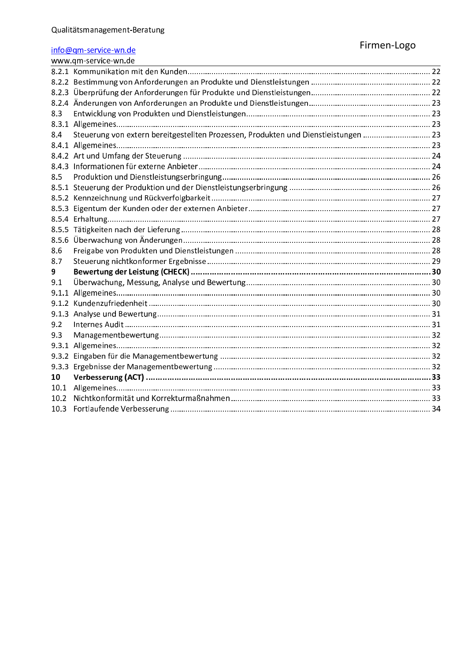|       | www.gm-service-wn.de                                                                |  |
|-------|-------------------------------------------------------------------------------------|--|
|       |                                                                                     |  |
|       |                                                                                     |  |
|       |                                                                                     |  |
|       |                                                                                     |  |
| 8.3   |                                                                                     |  |
|       |                                                                                     |  |
| 8.4   | Steuerung von extern bereitgestellten Prozessen, Produkten und Dienstleistungen  23 |  |
|       |                                                                                     |  |
|       |                                                                                     |  |
| 8.4.3 |                                                                                     |  |
| 8.5   |                                                                                     |  |
|       |                                                                                     |  |
|       |                                                                                     |  |
| 8.5.3 |                                                                                     |  |
|       |                                                                                     |  |
|       |                                                                                     |  |
| 8.5.6 |                                                                                     |  |
| 8.6   |                                                                                     |  |
| 8.7   |                                                                                     |  |
| 9     |                                                                                     |  |
| 9.1   |                                                                                     |  |
|       |                                                                                     |  |
| 9.1.2 |                                                                                     |  |
| 9.1.3 |                                                                                     |  |
| 9.2   |                                                                                     |  |
| 9.3   |                                                                                     |  |
| 9.3.1 |                                                                                     |  |
| 9.3.2 |                                                                                     |  |
| 9.3.3 |                                                                                     |  |
| 10    |                                                                                     |  |
| 10.1  |                                                                                     |  |
| 10.2  |                                                                                     |  |
| 10.3  |                                                                                     |  |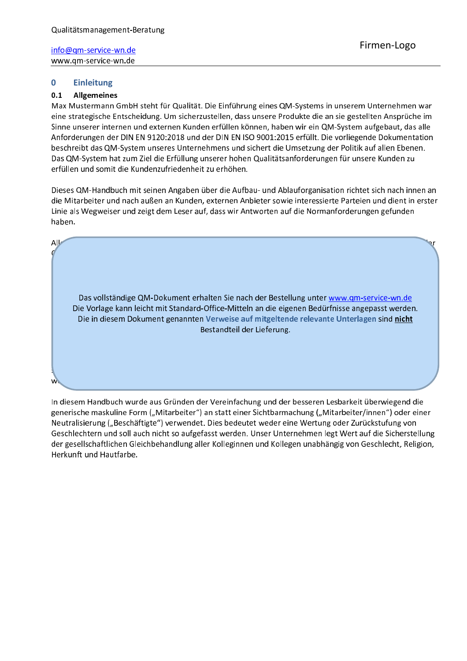#### $\mathbf{0}$ **Einleitung**

#### $0.1$ **Allgemeines**

Max Mustermann GmbH steht für Qualität. Die Einführung eines QM-Systems in unserem Unternehmen war eine strategische Entscheidung. Um sicherzustellen, dass unsere Produkte die an sie gestellten Ansprüche im Sinne unserer internen und externen Kunden erfüllen können, haben wir ein QM-System aufgebaut, das alle Anforderungen der DIN EN 9120:2018 und der DIN EN ISO 9001:2015 erfüllt. Die vorliegende Dokumentation beschreibt das QM-System unseres Unternehmens und sichert die Umsetzung der Politik auf allen Ebenen. Das QM-System hat zum Ziel die Erfüllung unserer hohen Qualitätsanforderungen für unsere Kunden zu erfüllen und somit die Kundenzufriedenheit zu erhöhen.

Dieses QM-Handbuch mit seinen Angaben über die Aufbau- und Ablauforganisation richtet sich nach innen an die Mitarbeiter und nach außen an Kunden, externen Anbieter sowie interessierte Parteien und dient in erster Linie als Wegweiser und zeigt dem Leser auf, dass wir Antworten auf die Normanforderungen gefunden haben.



In diesem Handbuch wurde aus Gründen der Vereinfachung und der besseren Lesbarkeit überwiegend die generische maskuline Form ("Mitarbeiter") an statt einer Sichtbarmachung ("Mitarbeiter/innen") oder einer Neutralisierung ("Beschäftigte") verwendet. Dies bedeutet weder eine Wertung oder Zurückstufung von Geschlechtern und soll auch nicht so aufgefasst werden. Unser Unternehmen legt Wert auf die Sicherstellung der gesellschaftlichen Gleichbehandlung aller Kolleginnen und Kollegen unabhängig von Geschlecht, Religion, Herkunft und Hautfarbe.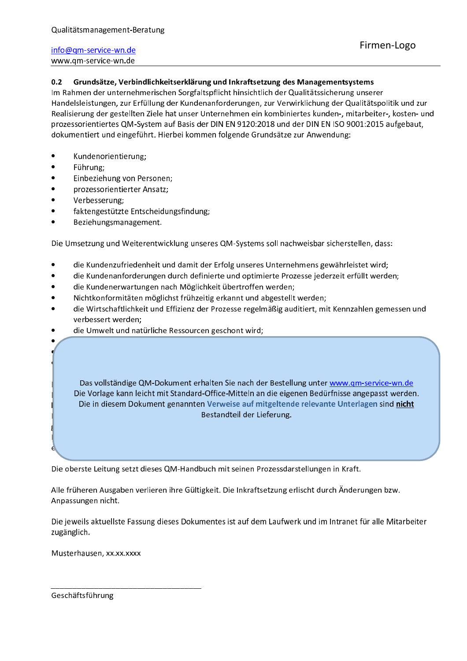#### $0.2$ Grundsätze, Verbindlichkeitserklärung und Inkraftsetzung des Managementsystems

Im Rahmen der unternehmerischen Sorgfaltspflicht hinsichtlich der Qualitätssicherung unserer Handelsleistungen, zur Erfüllung der Kundenanforderungen, zur Verwirklichung der Qualitätspolitik und zur Realisierung der gestellten Ziele hat unser Unternehmen ein kombiniertes kunden-, mitarbeiter-, kosten- und prozessorientiertes QM-System auf Basis der DIN EN 9120:2018 und der DIN EN ISO 9001:2015 aufgebaut, dokumentiert und eingeführt. Hierbei kommen folgende Grundsätze zur Anwendung:

- Kundenorientierung;
- Führung;
- Einbeziehung von Personen;
- prozessorientierter Ansatz;
- Verbesserung;
- faktengestützte Entscheidungsfindung;
- Beziehungsmanagement.

Die Umsetzung und Weiterentwicklung unseres QM-Systems soll nachweisbar sicherstellen, dass:

- die Kundenzufriedenheit und damit der Erfolg unseres Unternehmens gewährleistet wird;
- die Kundenanforderungen durch definierte und optimierte Prozesse jederzeit erfüllt werden;
- die Kundenerwartungen nach Möglichkeit übertroffen werden;
- Nichtkonformitäten möglichst frühzeitig erkannt und abgestellt werden;
- die Wirtschaftlichkeit und Effizienz der Prozesse regelmäßig auditiert, mit Kennzahlen gemessen und verbessert werden:
- die Umwelt und natürliche Ressourcen geschont wird;

Das vollständige QM-Dokument erhalten Sie nach der Bestellung unter www.gm-service-wn.de Die Vorlage kann leicht mit Standard-Office-Mitteln an die eigenen Bedürfnisse angepasst werden. Die in diesem Dokument genannten Verweise auf mitgeltende relevante Unterlagen sind nicht Bestandteil der Lieferung.

Die oberste Leitung setzt dieses QM-Handbuch mit seinen Prozessdarstellungen in Kraft.

Alle früheren Ausgaben verlieren ihre Gültigkeit. Die Inkraftsetzung erlischt durch Änderungen bzw. Anpassungen nicht.

Die jeweils aktuellste Fassung dieses Dokumentes ist auf dem Laufwerk und im Intranet für alle Mitarbeiter zugänglich.

Musterhausen, xx.xx.xxxx

Geschäftsführung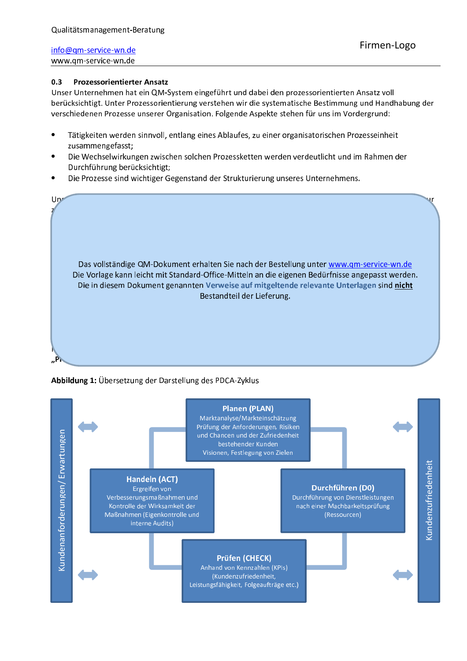#### $0.3$ **Prozessorientierter Ansatz**

Unser Unternehmen hat ein QM-System eingeführt und dabei den prozessorientierten Ansatz voll berücksichtigt. Unter Prozessorientierung verstehen wir die systematische Bestimmung und Handhabung der verschiedenen Prozesse unserer Organisation. Folgende Aspekte stehen für uns im Vordergrund:

- Tätigkeiten werden sinnvoll, entlang eines Ablaufes, zu einer organisatorischen Prozesseinheit zusammengefasst:
- Die Wechselwirkungen zwischen solchen Prozessketten werden verdeutlicht und im Rahmen der Durchführung berücksichtigt;
- Die Prozesse sind wichtiger Gegenstand der Strukturierung unseres Unternehmens.



#### Abbildung 1: Übersetzung der Darstellung des PDCA-Zyklus

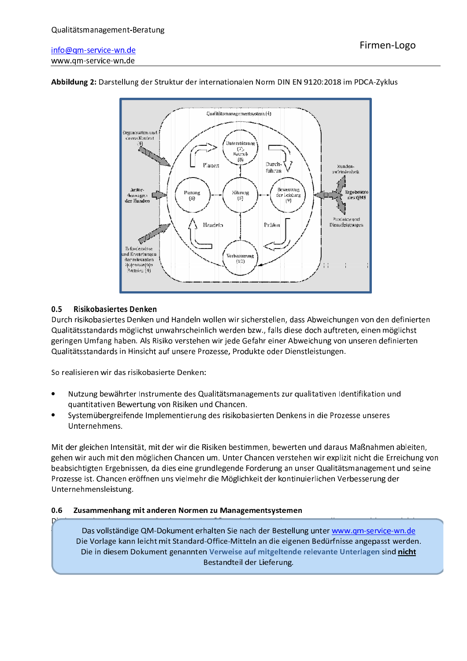

Abbildung 2: Darstellung der Struktur der internationalen Norm DIN EN 9120:2018 im PDCA-Zyklus

#### $0.5$ **Risikobasiertes Denken**

Durch risikobasiertes Denken und Handeln wollen wir sicherstellen, dass Abweichungen von den definierten Qualitätsstandards möglichst unwahrscheinlich werden bzw., falls diese doch auftreten, einen möglichst geringen Umfang haben. Als Risiko verstehen wir jede Gefahr einer Abweichung von unseren definierten Qualitätsstandards in Hinsicht auf unsere Prozesse, Produkte oder Dienstleistungen.

So realisieren wir das risikobasierte Denken:

- Nutzung bewährter Instrumente des Qualitätsmanagements zur qualitativen Identifikation und  $\bullet$ quantitativen Bewertung von Risiken und Chancen.
- Systemübergreifende Implementierung des risikobasierten Denkens in die Prozesse unseres Unternehmens.

Mit der gleichen Intensität, mit der wir die Risiken bestimmen, bewerten und daraus Maßnahmen ableiten, gehen wir auch mit den möglichen Chancen um. Unter Chancen verstehen wir explizit nicht die Erreichung von beabsichtigten Ergebnissen, da dies eine grundlegende Forderung an unser Qualitätsmanagement und seine Prozesse ist. Chancen eröffnen uns vielmehr die Möglichkeit der kontinuierlichen Verbesserung der Unternehmensleistung.

#### $0.6$ Zusammenhang mit anderen Normen zu Managementsystemen

Das vollständige QM-Dokument erhalten Sie nach der Bestellung unter www.gm-service-wn.de Die Vorlage kann leicht mit Standard-Office-Mitteln an die eigenen Bedürfnisse angepasst werden. Die in diesem Dokument genannten Verweise auf mitgeltende relevante Unterlagen sind nicht Bestandteil der Lieferung.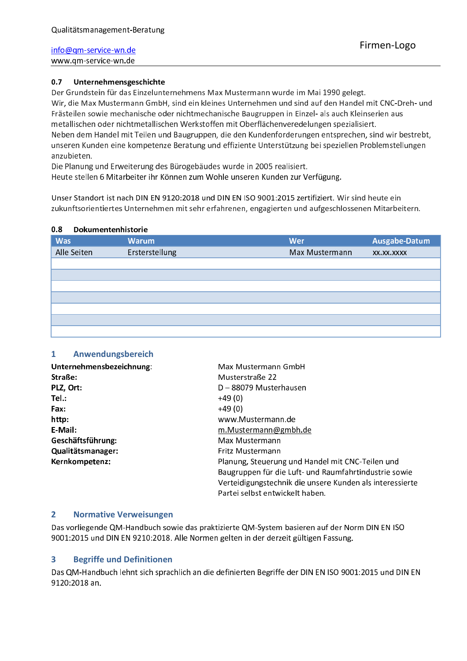#### Unternehmensgeschichte  $0.7$

Der Grundstein für das Einzelunternehmens Max Mustermann wurde im Mai 1990 gelegt. Wir, die Max Mustermann GmbH, sind ein kleines Unternehmen und sind auf den Handel mit CNC-Dreh- und Frästeilen sowie mechanische oder nichtmechanische Baugruppen in Einzel- als auch Kleinserien aus metallischen oder nichtmetallischen Werkstoffen mit Oberflächenveredelungen spezialisiert. Neben dem Handel mit Teilen und Baugruppen, die den Kundenforderungen entsprechen, sind wir bestrebt, unseren Kunden eine kompetenze Beratung und effiziente Unterstützung bei speziellen Problemstellungen anzubieten.

Die Planung und Erweiterung des Bürogebäudes wurde in 2005 realisiert.

Heute stellen 6 Mitarbeiter ihr Können zum Wohle unseren Kunden zur Verfügung.

Unser Standort ist nach DIN EN 9120:2018 und DIN EN ISO 9001:2015 zertifiziert. Wir sind heute ein zukunftsorientiertes Unternehmen mit sehr erfahrenen, engagierten und aufgeschlossenen Mitarbeitern.

#### $0.8$ **Dokumentenhistorie**

|             | ----------------------- |                |               |
|-------------|-------------------------|----------------|---------------|
| <b>Was</b>  | <b>Warum</b>            | Wer            | Ausgabe-Datum |
| Alle Seiten | Ersterstellung          | Max Mustermann | XX.XX.XXXX    |
|             |                         |                |               |
|             |                         |                |               |
|             |                         |                |               |
|             |                         |                |               |
|             |                         |                |               |
|             |                         |                |               |
|             |                         |                |               |

#### Anwendungsbereich  $\mathbf{1}$

| Unternehmensbezeichnung: | Max Mustermann GmbH                                      |
|--------------------------|----------------------------------------------------------|
| Straße:                  | Musterstraße 22                                          |
| PLZ, Ort:                | D-88079 Musterhausen                                     |
| Tel.:                    | $+49(0)$                                                 |
| Fax:                     | $+49(0)$                                                 |
| http:                    | www.Mustermann.de                                        |
| E-Mail:                  | m. Mustermann@gmbh.de                                    |
| Geschäftsführung:        | Max Mustermann                                           |
| Qualitätsmanager:        | Fritz Mustermann                                         |
| Kernkompetenz:           | Planung, Steuerung und Handel mit CNC-Teilen und         |
|                          | Baugruppen für die Luft- und Raumfahrtindustrie sowie    |
|                          | Verteidigungstechnik die unsere Kunden als interessierte |
|                          | Partei selbst entwickelt haben.                          |

#### $\mathbf{2}$ **Normative Verweisungen**

Das vorliegende QM-Handbuch sowie das praktizierte QM-System basieren auf der Norm DIN EN ISO 9001:2015 und DIN EN 9210:2018. Alle Normen gelten in der derzeit gültigen Fassung.

#### $\overline{\mathbf{3}}$ **Begriffe und Definitionen**

Das QM-Handbuch lehnt sich sprachlich an die definierten Begriffe der DIN EN ISO 9001:2015 und DIN EN 9120:2018 an.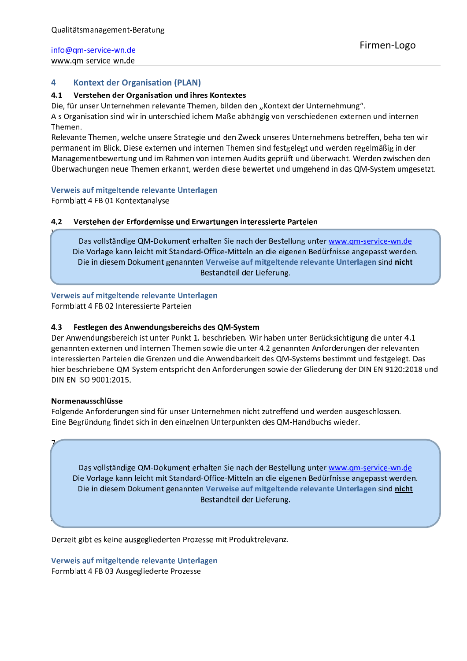#### 4 **Kontext der Organisation (PLAN)**

#### $4.1$ Verstehen der Organisation und ihres Kontextes

Die, für unser Unternehmen relevante Themen, bilden den "Kontext der Unternehmung". Als Organisation sind wir in unterschiedlichem Maße abhängig von verschiedenen externen und internen Themen.

Relevante Themen, welche unsere Strategie und den Zweck unseres Unternehmens betreffen, behalten wir permanent im Blick. Diese externen und internen Themen sind festgelegt und werden regelmäßig in der Managementbewertung und im Rahmen von internen Audits geprüft und überwacht. Werden zwischen den Überwachungen neue Themen erkannt, werden diese bewertet und umgehend in das QM-System umgesetzt.

#### Verweis auf mitgeltende relevante Unterlagen

Formblatt 4 FB 01 Kontextanalyse

#### 4.2 Verstehen der Erfordernisse und Erwartungen interessierte Parteien

Das vollständige QM-Dokument erhalten Sie nach der Bestellung unter www.qm-service-wn.de Die Vorlage kann leicht mit Standard-Office-Mitteln an die eigenen Bedürfnisse angepasst werden. Die in diesem Dokument genannten Verweise auf mitgeltende relevante Unterlagen sind nicht Bestandteil der Lieferung.

Verweis auf mitgeltende relevante Unterlagen

Formblatt 4 FB 02 Interessierte Parteien

#### Festlegen des Anwendungsbereichs des QM-System 4.3

Der Anwendungsbereich ist unter Punkt 1. beschrieben. Wir haben unter Berücksichtigung die unter 4.1 genannten externen und internen Themen sowie die unter 4.2 genannten Anforderungen der relevanten interessierten Parteien die Grenzen und die Anwendbarkeit des QM-Systems bestimmt und festgelegt. Das hier beschriebene QM-System entspricht den Anforderungen sowie der Gliederung der DIN EN 9120:2018 und DIN EN ISO 9001:2015.

#### Normenausschlüsse

Folgende Anforderungen sind für unser Unternehmen nicht zutreffend und werden ausgeschlossen. Eine Begründung findet sich in den einzelnen Unterpunkten des QM-Handbuchs wieder.

Das vollständige QM-Dokument erhalten Sie nach der Bestellung unter www.qm-service-wn.de Die Vorlage kann leicht mit Standard-Office-Mitteln an die eigenen Bedürfnisse angepasst werden. Die in diesem Dokument genannten Verweise auf mitgeltende relevante Unterlagen sind nicht Bestandteil der Lieferung.

Derzeit gibt es keine ausgegliederten Prozesse mit Produktrelevanz.

Verweis auf mitgeltende relevante Unterlagen Formblatt 4 FB 03 Ausgegliederte Prozesse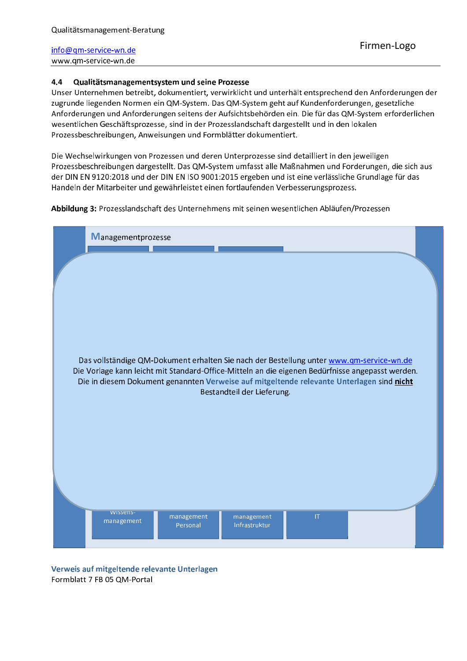#### $4.4$ Qualitätsmanagementsystem und seine Prozesse

Unser Unternehmen betreibt, dokumentiert, verwirklicht und unterhält entsprechend den Anforderungen der zugrunde liegenden Normen ein QM-System. Das QM-System geht auf Kundenforderungen, gesetzliche Anforderungen und Anforderungen seitens der Aufsichtsbehörden ein. Die für das QM-System erforderlichen wesentlichen Geschäftsprozesse, sind in der Prozesslandschaft dargestellt und in den lokalen Prozessbeschreibungen, Anweisungen und Formblätter dokumentiert.

Die Wechselwirkungen von Prozessen und deren Unterprozesse sind detailliert in den jeweiligen Prozessbeschreibungen dargestellt. Das QM-System umfasst alle Maßnahmen und Forderungen, die sich aus der DIN EN 9120:2018 und der DIN EN ISO 9001:2015 ergeben und ist eine verlässliche Grundlage für das Handeln der Mitarbeiter und gewährleistet einen fortlaufenden Verbesserungsprozess.

Abbildung 3: Prozesslandschaft des Unternehmens mit seinen wesentlichen Abläufen/Prozessen

| Managementprozesse                                                                                                                                                                                                          |  |
|-----------------------------------------------------------------------------------------------------------------------------------------------------------------------------------------------------------------------------|--|
|                                                                                                                                                                                                                             |  |
|                                                                                                                                                                                                                             |  |
|                                                                                                                                                                                                                             |  |
| Das vollständige QM-Dokument erhalten Sie nach der Bestellung unter www.qm-service-wn.de                                                                                                                                    |  |
| Die Vorlage kann leicht mit Standard-Office-Mitteln an die eigenen Bedürfnisse angepasst werden.<br>Die in diesem Dokument genannten Verweise auf mitgeltende relevante Unterlagen sind nicht<br>Bestandteil der Lieferung. |  |
|                                                                                                                                                                                                                             |  |
|                                                                                                                                                                                                                             |  |
|                                                                                                                                                                                                                             |  |
| <b>WISSENS-</b>                                                                                                                                                                                                             |  |
| $ \mathsf{T} $<br>management<br>management<br>management<br>Infrastruktur<br>Personal                                                                                                                                       |  |

Verweis auf mitgeltende relevante Unterlagen Formblatt 7 FB 05 QM-Portal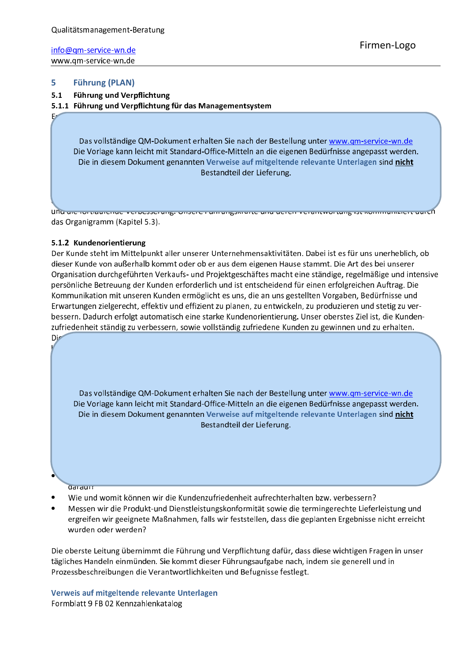#### 5 **Führung (PLAN)**

#### $5.1$ **Führung und Verpflichtung**

5.1.1 Führung und Verpflichtung für das Managementsystem

Das vollständige QM-Dokument erhalten Sie nach der Bestellung unter www.qm-service-wn.de Die Vorlage kann leicht mit Standard-Office-Mitteln an die eigenen Bedürfnisse angepasst werden. Die in diesem Dokument genannten Verweise auf mitgeltende relevante Unterlagen sind nicht Bestandteil der Lieferung.

<u>Unu die ionnaandinge verbesserang, onsere namangskrafte and deren verantwortang ist kommunisiert dareñ</u> das Organigramm (Kapitel 5.3).

#### 5.1.2 Kundenorientierung

Der Kunde steht im Mittelpunkt aller unserer Unternehmensaktivitäten. Dabei ist es für uns unerheblich, ob dieser Kunde von außerhalb kommt oder ob er aus dem eigenen Hause stammt. Die Art des bei unserer Organisation durchgeführten Verkaufs- und Projektgeschäftes macht eine ständige, regelmäßige und intensive persönliche Betreuung der Kunden erforderlich und ist entscheidend für einen erfolgreichen Auftrag. Die Kommunikation mit unseren Kunden ermöglicht es uns, die an uns gestellten Vorgaben, Bedürfnisse und Erwartungen zielgerecht, effektiv und effizient zu planen, zu entwickeln, zu produzieren und stetig zu verbessern. Dadurch erfolgt automatisch eine starke Kundenorientierung. Unser oberstes Ziel ist, die Kundenzufriedenheit ständig zu verbessern, sowie vollständig zufriedene Kunden zu gewinnen und zu erhalten.

Das vollständige QM-Dokument erhalten Sie nach der Bestellung unter www.qm-service-wn.de Die Vorlage kann leicht mit Standard-Office-Mitteln an die eigenen Bedürfnisse angepasst werden. Die in diesem Dokument genannten Verweise auf mitgeltende relevante Unterlagen sind nicht Bestandteil der Lieferung.

**Qaraurs** 

Die

- Wie und womit können wir die Kundenzufriedenheit aufrechterhalten bzw. verbessern?
- Messen wir die Produkt-und Dienstleistungskonformität sowie die termingerechte Lieferleistung und ergreifen wir geeignete Maßnahmen, falls wir feststellen, dass die geplanten Ergebnisse nicht erreicht wurden oder werden?

Die oberste Leitung übernimmt die Führung und Verpflichtung dafür, dass diese wichtigen Fragen in unser tägliches Handeln einmünden. Sie kommt dieser Führungsaufgabe nach, indem sie generell und in Prozessbeschreibungen die Verantwortlichkeiten und Befugnisse festlegt.

Verweis auf mitgeltende relevante Unterlagen Formblatt 9 FB 02 Kennzahlenkatalog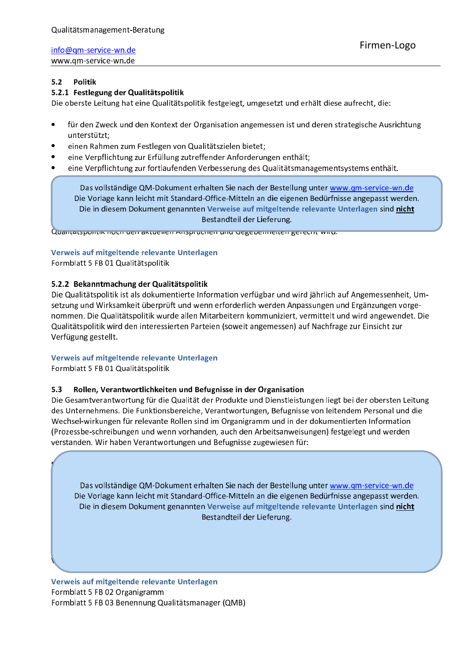#### $5.2$ **Politik**

### 5.2.1 Festlegung der Qualitätspolitik

Die oberste Leitung hat eine Qualitätspolitik festgelegt, umgesetzt und erhält diese aufrecht, die:

- für den Zweck und den Kontext der Organisation angemessen ist und deren strategische Ausrichtung unterstützt:
- einen Rahmen zum Festlegen von Qualitätszielen bietet;
- eine Verpflichtung zur Erfüllung zutreffender Anforderungen enthält;
- eine Verpflichtung zur fortlaufenden Verbesserung des Qualitätsmanagementsystems enthält.

Das vollständige QM-Dokument erhalten Sie nach der Bestellung unter www.qm-service-wn.de Die Vorlage kann leicht mit Standard-Office-Mitteln an die eigenen Bedürfnisse angepasst werden. Die in diesem Dokument genannten Verweise auf mitgeltende relevante Unterlagen sind nicht Bestandteil der Lieferung.

Quantatspontik noch uen aktuenen Anspruchen und degebenneiten gerecht wird.

### Verweis auf mitgeltende relevante Unterlagen

Formblatt 5 FB 01 Qualitätspolitik

### 5.2.2 Bekanntmachung der Qualitätspolitik

Die Qualitätspolitik ist als dokumentierte Information verfügbar und wird jährlich auf Angemessenheit, Umsetzung und Wirksamkeit überprüft und wenn erforderlich werden Anpassungen und Ergänzungen vorgenommen. Die Qualitätspolitik wurde allen Mitarbeitern kommuniziert, vermittelt und wird angewendet. Die Qualitätspolitik wird den interessierten Parteien (soweit angemessen) auf Nachfrage zur Einsicht zur Verfügung gestellt.

### Verweis auf mitgeltende relevante Unterlagen

Formblatt 5 FB 01 Qualitätspolitik

#### Rollen, Verantwortlichkeiten und Befugnisse in der Organisation  $5.3$

Die Gesamtverantwortung für die Qualität der Produkte und Dienstleistungen liegt bei der obersten Leitung des Unternehmens. Die Funktionsbereiche, Verantwortungen, Befugnisse von leitendem Personal und die Wechsel-wirkungen für relevante Rollen sind im Organigramm und in der dokumentierten Information (Prozessbe-schreibungen und wenn vorhanden, auch den Arbeitsanweisungen) festgelegt und werden verstanden. Wir haben Verantwortungen und Befugnisse zugewiesen für:

Das vollständige QM-Dokument erhalten Sie nach der Bestellung unter www.gm-service-wn.de Die Vorlage kann leicht mit Standard-Office-Mitteln an die eigenen Bedürfnisse angepasst werden. Die in diesem Dokument genannten Verweise auf mitgeltende relevante Unterlagen sind nicht Bestandteil der Lieferung.

Verweis auf mitgeltende relevante Unterlagen Formblatt 5 FB 02 Organigramm Formblatt 5 FB 03 Benennung Qualitätsmanager (QMB)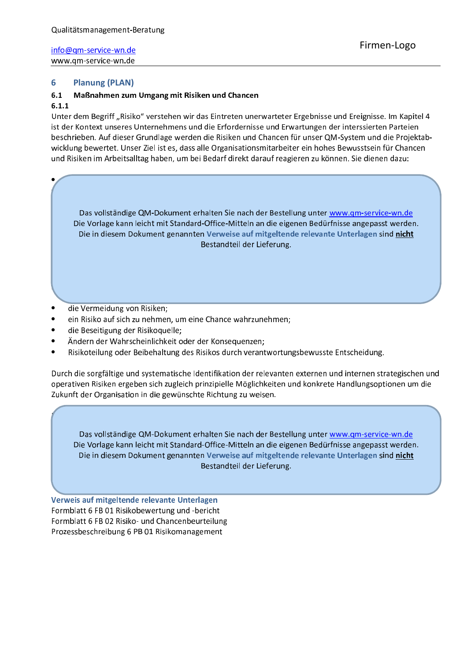#### 6 **Planung (PLAN)**

#### $6.1$ Maßnahmen zum Umgang mit Risiken und Chancen

#### $6.1.1$

Unter dem Begriff "Risiko" verstehen wir das Eintreten unerwarteter Ergebnisse und Ereignisse. Im Kapitel 4 ist der Kontext unseres Unternehmens und die Erfordernisse und Erwartungen der interssierten Parteien beschrieben. Auf dieser Grundlage werden die Risiken und Chancen für unser QM-System und die Projektabwicklung bewertet. Unser Ziel ist es, dass alle Organisationsmitarbeiter ein hohes Bewusstsein für Chancen und Risiken im Arbeitsalltag haben, um bei Bedarf direkt darauf reagieren zu können. Sie dienen dazu:

Das vollständige QM-Dokument erhalten Sie nach der Bestellung unter www.gm-service-wn.de Die Vorlage kann leicht mit Standard-Office-Mitteln an die eigenen Bedürfnisse angepasst werden. Die in diesem Dokument genannten Verweise auf mitgeltende relevante Unterlagen sind nicht Bestandteil der Lieferung.

- die Vermeidung von Risiken;
- ein Risiko auf sich zu nehmen, um eine Chance wahrzunehmen;
- die Beseitigung der Risikoquelle;
- Ändern der Wahrscheinlichkeit oder der Konseguenzen;
- Risikoteilung oder Beibehaltung des Risikos durch verantwortungsbewusste Entscheidung.

Durch die sorgfältige und systematische Identifikation der relevanten externen und internen strategischen und operativen Risiken ergeben sich zugleich prinzipielle Möglichkeiten und konkrete Handlungsoptionen um die Zukunft der Organisation in die gewünschte Richtung zu weisen.

Das vollständige QM-Dokument erhalten Sie nach der Bestellung unter www.gm-service-wn.de Die Vorlage kann leicht mit Standard-Office-Mitteln an die eigenen Bedürfnisse angepasst werden. Die in diesem Dokument genannten Verweise auf mitgeltende relevante Unterlagen sind nicht Bestandteil der Lieferung.

Verweis auf mitgeltende relevante Unterlagen Formblatt 6 FB 01 Risikobewertung und -bericht Formblatt 6 FB 02 Risiko- und Chancenbeurteilung Prozessbeschreibung 6 PB 01 Risikomanagement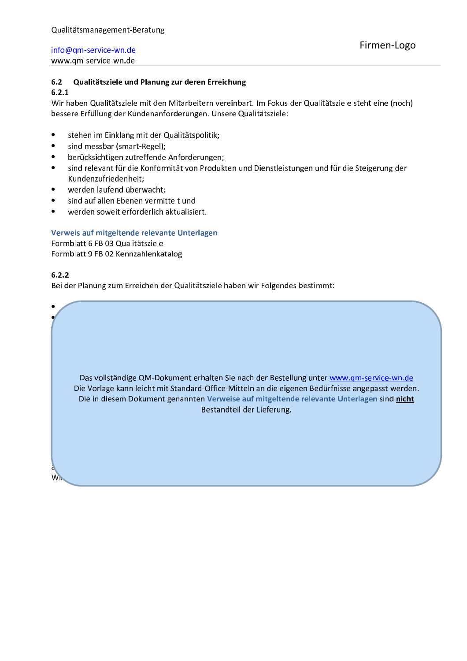#### $6.2$ Qualitätsziele und Planung zur deren Erreichung

 $6.2.1$ 

Wir haben Qualitätsziele mit den Mitarbeitern vereinbart. Im Fokus der Qualitätsziele steht eine (noch) bessere Erfüllung der Kundenanforderungen. Unsere Qualitätsziele:

- stehen im Einklang mit der Qualitätspolitik;  $\bullet$
- sind messbar (smart-Regel);  $\bullet$
- berücksichtigen zutreffende Anforderungen;
- sind relevant für die Konformität von Produkten und Dienstleistungen und für die Steigerung der Kundenzufriedenheit:
- werden laufend überwacht;
- sind auf allen Ebenen vermittelt und
- werden soweit erforderlich aktualisiert.

### Verweis auf mitgeltende relevante Unterlagen

Formblatt 6 FB 03 Qualitätsziele

Formblatt 9 FB 02 Kennzahlenkatalog

### $6.2.2$

W.

Bei der Planung zum Erreichen der Qualitätsziele haben wir Folgendes bestimmt:

Das vollständige QM-Dokument erhalten Sie nach der Bestellung unter www.qm-service-wn.de Die Vorlage kann leicht mit Standard-Office-Mitteln an die eigenen Bedürfnisse angepasst werden. Die in diesem Dokument genannten Verweise auf mitgeltende relevante Unterlagen sind nicht Bestandteil der Lieferung.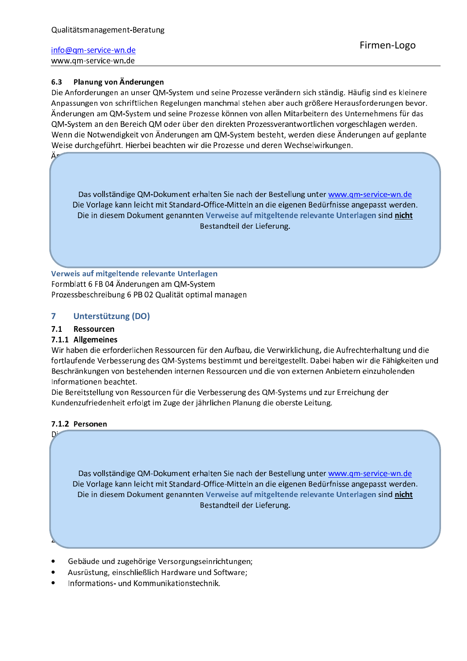Ä۳

#### Planung von Änderungen  $6.3$

Die Anforderungen an unser QM-System und seine Prozesse verändern sich ständig. Häufig sind es kleinere Anpassungen von schriftlichen Regelungen manchmal stehen aber auch größere Herausforderungen bevor. Änderungen am QM-System und seine Prozesse können von allen Mitarbeitern des Unternehmens für das QM-System an den Bereich QM oder über den direkten Prozessverantwortlichen vorgeschlagen werden. Wenn die Notwendigkeit von Änderungen am QM-System besteht, werden diese Änderungen auf geplante Weise durchgeführt. Hierbei beachten wir die Prozesse und deren Wechselwirkungen.

Das vollständige QM-Dokument erhalten Sie nach der Bestellung unter www.gm-service-wn.de Die Vorlage kann leicht mit Standard-Office-Mitteln an die eigenen Bedürfnisse angepasst werden. Die in diesem Dokument genannten Verweise auf mitgeltende relevante Unterlagen sind nicht Bestandteil der Lieferung.

Verweis auf mitgeltende relevante Unterlagen Formblatt 6 FB 04 Änderungen am QM-System Prozessbeschreibung 6 PB 02 Qualität optimal managen

#### $\overline{\mathbf{z}}$ Unterstützung (DO)

#### $7.1$ Ressourcen

### 7.1.1 Allgemeines

Wir haben die erforderlichen Ressourcen für den Aufbau, die Verwirklichung, die Aufrechterhaltung und die fortlaufende Verbesserung des QM-Systems bestimmt und bereitgestellt. Dabei haben wir die Fähigkeiten und Beschränkungen von bestehenden internen Ressourcen und die von externen Anbietern einzuholenden Informationen beachtet.

Die Bereitstellung von Ressourcen für die Verbesserung des QM-Systems und zur Erreichung der Kundenzufriedenheit erfolgt im Zuge der jährlichen Planung die oberste Leitung.

### 7.1.2 Personen

D<sup>3</sup>

Das vollständige QM-Dokument erhalten Sie nach der Bestellung unter www.gm-service-wn.de Die Vorlage kann leicht mit Standard-Office-Mitteln an die eigenen Bedürfnisse angepasst werden. Die in diesem Dokument genannten Verweise auf mitgeltende relevante Unterlagen sind nicht Bestandteil der Lieferung.

- Gebäude und zugehörige Versorgungseinrichtungen;
- Ausrüstung, einschließlich Hardware und Software;
- Informations- und Kommunikationstechnik.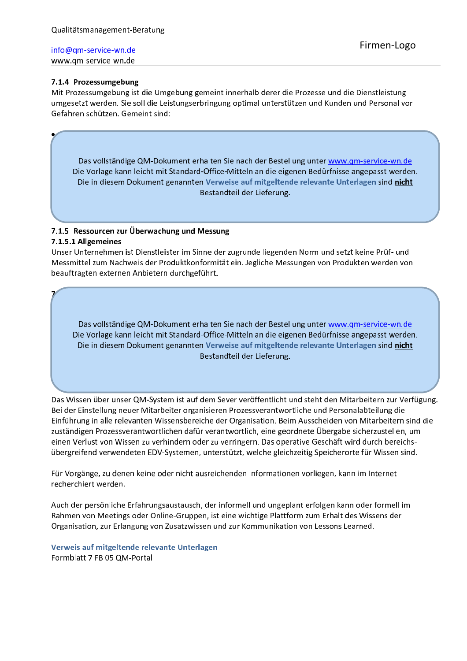### 7.1.4 Prozessumgebung

Mit Prozessumgebung ist die Umgebung gemeint innerhalb derer die Prozesse und die Dienstleistung umgesetzt werden. Sie soll die Leistungserbringung optimal unterstützen und Kunden und Personal vor Gefahren schützen. Gemeint sind:

Das vollständige QM-Dokument erhalten Sie nach der Bestellung unter www.gm-service-wn.de Die Vorlage kann leicht mit Standard-Office-Mitteln an die eigenen Bedürfnisse angepasst werden. Die in diesem Dokument genannten Verweise auf mitgeltende relevante Unterlagen sind nicht Bestandteil der Lieferung.

## 7.1.5 Ressourcen zur Überwachung und Messung

#### 7.1.5.1 Allgemeines

Unser Unternehmen ist Dienstleister im Sinne der zugrunde liegenden Norm und setzt keine Prüf- und Messmittel zum Nachweis der Produktkonformität ein. Jegliche Messungen von Produkten werden von beauftragten externen Anbietern durchgeführt.

Das vollständige QM-Dokument erhalten Sie nach der Bestellung unter www.qm-service-wn.de Die Vorlage kann leicht mit Standard-Office-Mitteln an die eigenen Bedürfnisse angepasst werden. Die in diesem Dokument genannten Verweise auf mitgeltende relevante Unterlagen sind nicht Bestandteil der Lieferung.

Das Wissen über unser QM-System ist auf dem Sever veröffentlicht und steht den Mitarbeitern zur Verfügung. Bei der Einstellung neuer Mitarbeiter organisieren Prozessverantwortliche und Personalabteilung die Einführung in alle relevanten Wissensbereiche der Organisation. Beim Ausscheiden von Mitarbeitern sind die zuständigen Prozessverantwortlichen dafür verantwortlich, eine geordnete Übergabe sicherzustellen, um einen Verlust von Wissen zu verhindern oder zu verringern. Das operative Geschäft wird durch bereichsübergreifend verwendeten EDV-Systemen, unterstützt, welche gleichzeitig Speicherorte für Wissen sind.

Für Vorgänge, zu denen keine oder nicht ausreichenden Informationen vorliegen, kann im Internet recherchiert werden.

Auch der persönliche Erfahrungsaustausch, der informell und ungeplant erfolgen kann oder formell im Rahmen von Meetings oder Online-Gruppen, ist eine wichtige Plattform zum Erhalt des Wissens der Organisation, zur Erlangung von Zusatzwissen und zur Kommunikation von Lessons Learned.

### Verweis auf mitgeltende relevante Unterlagen Formblatt 7 FB 05 OM-Portal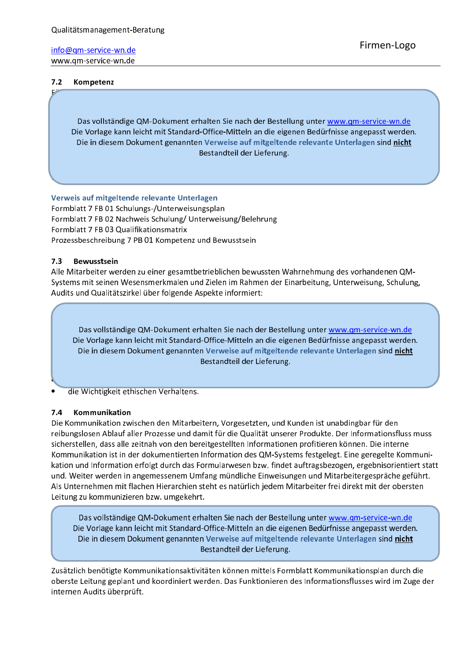### info@qm-service-wn.de

www.qm-service-wn.de

#### $7.2$ Kompetenz

Das vollständige QM-Dokument erhalten Sie nach der Bestellung unter www.qm-service-wn.de Die Vorlage kann leicht mit Standard-Office-Mitteln an die eigenen Bedürfnisse angepasst werden. Die in diesem Dokument genannten Verweise auf mitgeltende relevante Unterlagen sind nicht Bestandteil der Lieferung.

Verweis auf mitgeltende relevante Unterlagen

Formblatt 7 FB 01 Schulungs-/Unterweisungsplan Formblatt 7 FB 02 Nachweis Schulung/ Unterweisung/Belehrung Formblatt 7 FB 03 Qualifikationsmatrix Prozessbeschreibung 7 PB 01 Kompetenz und Bewusstsein

#### $7.3$ **Bewusstsein**

Alle Mitarbeiter werden zu einer gesamtbetrieblichen bewussten Wahrnehmung des vorhandenen QM-Systems mit seinen Wesensmerkmalen und Zielen im Rahmen der Einarbeitung, Unterweisung, Schulung, Audits und Qualitätszirkel über folgende Aspekte informiert:

Das vollständige QM-Dokument erhalten Sie nach der Bestellung unter www.gm-service-wn.de Die Vorlage kann leicht mit Standard-Office-Mitteln an die eigenen Bedürfnisse angepasst werden. Die in diesem Dokument genannten Verweise auf mitgeltende relevante Unterlagen sind nicht Bestandteil der Lieferung.

die Wichtigkeit ethischen Verhaltens.

#### Kommunikation  $7.4$

Die Kommunikation zwischen den Mitarbeitern, Vorgesetzten, und Kunden ist unabdingbar für den reibungslosen Ablauf aller Prozesse und damit für die Qualität unserer Produkte. Der Informationsfluss muss sicherstellen, dass alle zeitnah von den bereitgestellten Informationen profitieren können. Die interne Kommunikation ist in der dokumentierten Information des QM-Systems festgelegt. Eine geregelte Kommunikation und Information erfolgt durch das Formularwesen bzw. findet auftragsbezogen, ergebnisorientiert statt und. Weiter werden in angemessenem Umfang mündliche Einweisungen und Mitarbeitergespräche geführt. Als Unternehmen mit flachen Hierarchien steht es natürlich jedem Mitarbeiter frei direkt mit der obersten Leitung zu kommunizieren bzw. umgekehrt.

Das vollständige QM-Dokument erhalten Sie nach der Bestellung unter www.qm-service-wn.de Die Vorlage kann leicht mit Standard-Office-Mitteln an die eigenen Bedürfnisse angepasst werden. Die in diesem Dokument genannten Verweise auf mitgeltende relevante Unterlagen sind nicht Bestandteil der Lieferung.

Zusätzlich benötigte Kommunikationsaktivitäten können mittels Formblatt Kommunikationsplan durch die oberste Leitung geplant und koordiniert werden. Das Funktionieren des Informationsflusses wird im Zuge der internen Audits überprüft.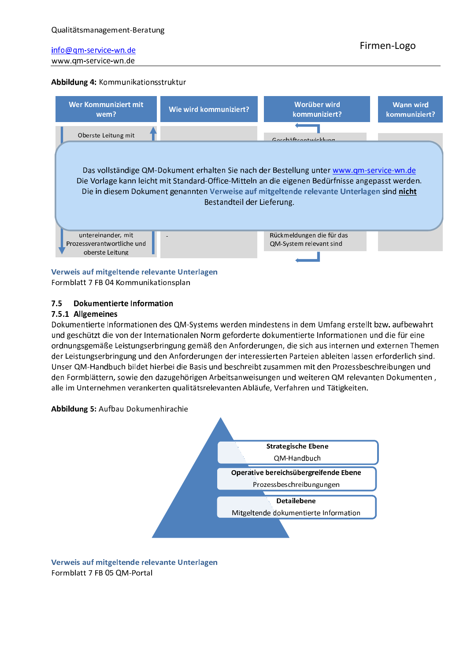### Abbildung 4: Kommunikationsstruktur



#### Verweis auf mitgeltende relevante Unterlagen

Formblatt 7 FB 04 Kommunikationsplan

#### **Dokumentierte Information**  $7.5$

#### 7.5.1 Allgemeines

Dokumentierte Informationen des QM-Systems werden mindestens in dem Umfang erstellt bzw. aufbewahrt und geschützt die von der Internationalen Norm geforderte dokumentierte Informationen und die für eine ordnungsgemäße Leistungserbringung gemäß den Anforderungen, die sich aus internen und externen Themen der Leistungserbringung und den Anforderungen der interessierten Parteien ableiten lassen erforderlich sind. Unser QM-Handbuch bildet hierbei die Basis und beschreibt zusammen mit den Prozessbeschreibungen und den Formblättern, sowie den dazugehörigen Arbeitsanweisungen und weiteren QM relevanten Dokumenten, alle im Unternehmen verankerten qualitätsrelevanten Abläufe, Verfahren und Tätigkeiten.





Verweis auf mitgeltende relevante Unterlagen Formblatt 7 FB 05 QM-Portal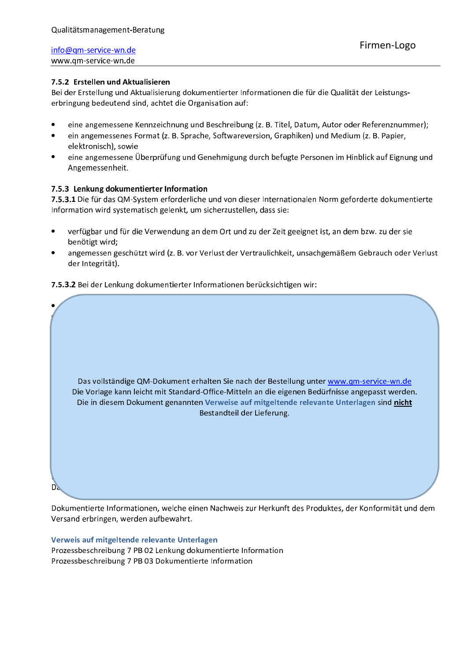### 7.5.2 Erstellen und Aktualisieren

Bei der Erstellung und Aktualisierung dokumentierter Informationen die für die Qualität der Leistungserbringung bedeutend sind, achtet die Organisation auf:

- eine angemessene Kennzeichnung und Beschreibung (z. B. Titel, Datum, Autor oder Referenznummer);
- ein angemessenes Format (z. B. Sprache, Softwareversion, Graphiken) und Medium (z. B. Papier, elektronisch), sowie
- eine angemessene Überprüfung und Genehmigung durch befugte Personen im Hinblick auf Eignung und Angemessenheit.

### 7.5.3 Lenkung dokumentierter Information

7.5.3.1 Die für das QM-System erforderliche und von dieser Internationalen Norm geforderte dokumentierte Information wird systematisch gelenkt, um sicherzustellen, dass sie:

- verfügbar und für die Verwendung an dem Ort und zu der Zeit geeignet ist, an dem bzw. zu der sie benötigt wird;
- angemessen geschützt wird (z. B. vor Verlust der Vertraulichkeit, unsachgemäßem Gebrauch oder Verlust der Integrität).

7.5.3.2 Bei der Lenkung dokumentierter Informationen berücksichtigen wir:

Das vollständige QM-Dokument erhalten Sie nach der Bestellung unter www.gm-service-wn.de Die Vorlage kann leicht mit Standard-Office-Mitteln an die eigenen Bedürfnisse angepasst werden. Die in diesem Dokument genannten Verweise auf mitgeltende relevante Unterlagen sind nicht Bestandteil der Lieferung. D).

Dokumentierte Informationen, welche einen Nachweis zur Herkunft des Produktes, der Konformität und dem Versand erbringen, werden aufbewahrt.

# Verweis auf mitgeltende relevante Unterlagen

Prozessbeschreibung 7 PB 02 Lenkung dokumentierte Information Prozessbeschreibung 7 PB 03 Dokumentierte Information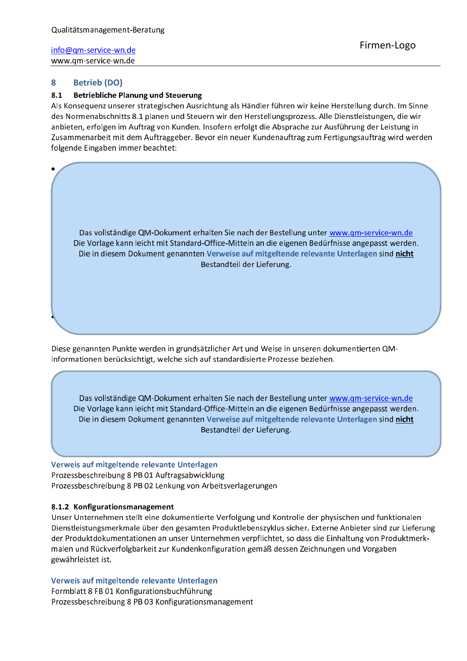#### 8 **Betrieb (DO)**

#### 8.1 **Betriebliche Planung und Steuerung**

Als Konsequenz unserer strategischen Ausrichtung als Händler führen wir keine Herstellung durch. Im Sinne des Normenabschnitts 8.1 planen und Steuern wir den Herstellungsprozess. Alle Dienstleistungen, die wir anbieten, erfolgen im Auftrag von Kunden. Insofern erfolgt die Absprache zur Ausführung der Leistung in Zusammenarbeit mit dem Auftraggeber. Bevor ein neuer Kundenauftrag zum Fertigungsauftrag wird werden folgende Eingaben immer beachtet:

Das vollständige QM-Dokument erhalten Sie nach der Bestellung unter www.qm-service-wn.de Die Vorlage kann leicht mit Standard-Office-Mitteln an die eigenen Bedürfnisse angepasst werden. Die in diesem Dokument genannten Verweise auf mitgeltende relevante Unterlagen sind nicht Bestandteil der Lieferung.

Diese genannten Punkte werden in grundsätzlicher Art und Weise in unseren dokumentierten QM-Informationen berücksichtigt, welche sich auf standardisierte Prozesse beziehen.

Das vollständige QM-Dokument erhalten Sie nach der Bestellung unter www.qm-service-wn.de Die Vorlage kann leicht mit Standard-Office-Mitteln an die eigenen Bedürfnisse angepasst werden. Die in diesem Dokument genannten Verweise auf mitgeltende relevante Unterlagen sind nicht Bestandteil der Lieferung.

Verweis auf mitgeltende relevante Unterlagen Prozessbeschreibung 8 PB 01 Auftragsabwicklung Prozessbeschreibung 8 PB 02 Lenkung von Arbeitsverlagerungen

### 8.1.2 Konfigurationsmanagement

Unser Unternehmen stellt eine dokumentierte Verfolgung und Kontrolle der physischen und funktionalen Dienstleistungsmerkmale über den gesamten Produktlebenszyklus sicher. Externe Anbieter sind zur Lieferung der Produktdokumentationen an unser Unternehmen verpflichtet, so dass die Einhaltung von Produktmerkmalen und Rückverfolgbarkeit zur Kundenkonfiguration gemäß dessen Zeichnungen und Vorgaben gewährleistet ist.

### Verweis auf mitgeltende relevante Unterlagen

Formblatt 8 FB 01 Konfigurationsbuchführung Prozessbeschreibung 8 PB 03 Konfigurationsmanagement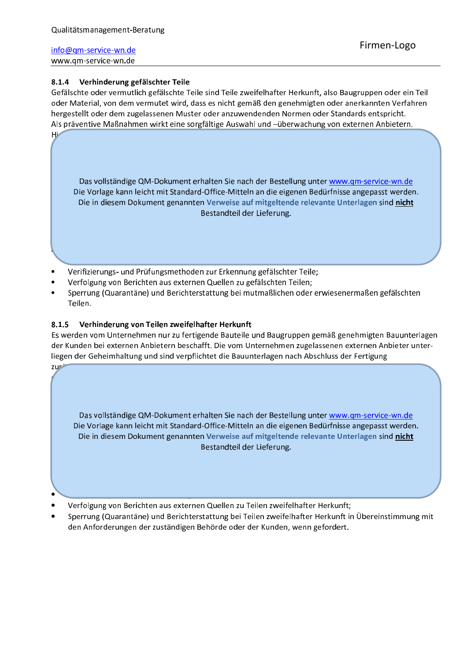НΖ

 $7<sup>th</sup>$ 

### 8.1.4 Verhinderung gefälschter Teile

Gefälschte oder vermutlich gefälschte Teile sind Teile zweifelhafter Herkunft, also Baugruppen oder ein Teil oder Material, von dem vermutet wird, dass es nicht gemäß den genehmigten oder anerkannten Verfahren hergestellt oder dem zugelassenen Muster oder anzuwendenden Normen oder Standards entspricht. Als präventive Maßnahmen wirkt eine sorgfältige Auswahl und -überwachung von externen Anbietern.

Das vollständige QM-Dokument erhalten Sie nach der Bestellung unter www.qm-service-wn.de Die Vorlage kann leicht mit Standard-Office-Mitteln an die eigenen Bedürfnisse angepasst werden. Die in diesem Dokument genannten Verweise auf mitgeltende relevante Unterlagen sind nicht Bestandteil der Lieferung.

- Verifizierungs- und Prüfungsmethoden zur Erkennung gefälschter Teile;
- Verfolgung von Berichten aus externen Quellen zu gefälschten Teilen;
- Sperrung (Quarantäne) und Berichterstattung bei mutmaßlichen oder erwiesenermaßen gefälschten Teilen.

#### 8.1.5 Verhinderung von Teilen zweifelhafter Herkunft

Es werden vom Unternehmen nur zu fertigende Bauteile und Baugruppen gemäß genehmigten Bauunterlagen der Kunden bei externen Anbietern beschafft. Die vom Unternehmen zugelassenen externen Anbieter unterliegen der Geheimhaltung und sind verpflichtet die Bauunterlagen nach Abschluss der Fertigung

Das vollständige QM-Dokument erhalten Sie nach der Bestellung unter www.qm-service-wn.de Die Vorlage kann leicht mit Standard-Office-Mitteln an die eigenen Bedürfnisse angepasst werden. Die in diesem Dokument genannten Verweise auf mitgeltende relevante Unterlagen sind nicht Bestandteil der Lieferung.

- Verfolgung von Berichten aus externen Quellen zu Teilen zweifelhafter Herkunft;
- Sperrung (Quarantäne) und Berichterstattung bei Teilen zweifelhafter Herkunft in Übereinstimmung mit den Anforderungen der zuständigen Behörde oder der Kunden, wenn gefordert.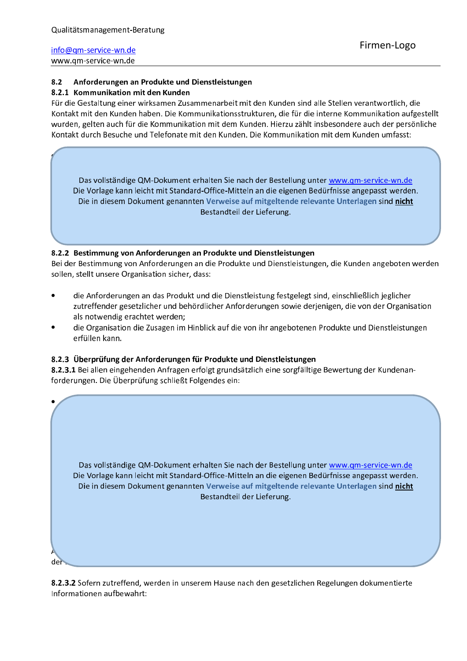#### $8.2$ Anforderungen an Produkte und Dienstleistungen

### 8.2.1 Kommunikation mit den Kunden

Für die Gestaltung einer wirksamen Zusammenarbeit mit den Kunden sind alle Stellen verantwortlich, die Kontakt mit den Kunden haben. Die Kommunikationsstrukturen, die für die interne Kommunikation aufgestellt wurden, gelten auch für die Kommunikation mit dem Kunden. Hierzu zählt insbesondere auch der persönliche Kontakt durch Besuche und Telefonate mit den Kunden. Die Kommunikation mit dem Kunden umfasst:

Das vollständige QM-Dokument erhalten Sie nach der Bestellung unter www.gm-service-wn.de Die Vorlage kann leicht mit Standard-Office-Mitteln an die eigenen Bedürfnisse angepasst werden. Die in diesem Dokument genannten Verweise auf mitgeltende relevante Unterlagen sind nicht Bestandteil der Lieferung.

### 8.2.2 Bestimmung von Anforderungen an Produkte und Dienstleistungen

Bei der Bestimmung von Anforderungen an die Produkte und Dienstleistungen, die Kunden angeboten werden sollen, stellt unsere Organisation sicher, dass:

- die Anforderungen an das Produkt und die Dienstleistung festgelegt sind, einschließlich jeglicher zutreffender gesetzlicher und behördlicher Anforderungen sowie derjenigen, die von der Organisation als notwendig erachtet werden;
- die Organisation die Zusagen im Hinblick auf die von ihr angebotenen Produkte und Dienstleistungen erfüllen kann.

### 8.2.3 Überprüfung der Anforderungen für Produkte und Dienstleistungen

8.2.3.1 Bei allen eingehenden Anfragen erfolgt grundsätzlich eine sorgfälltige Bewertung der Kundenanforderungen. Die Überprüfung schließt Folgendes ein:

|    | Das vollständige QM-Dokument erhalten Sie nach der Bestellung unter www.qm-service-wn.de<br>Die Vorlage kann leicht mit Standard-Office-Mitteln an die eigenen Bedürfnisse angepasst werden.<br>Die in diesem Dokument genannten Verweise auf mitgeltende relevante Unterlagen sind nicht<br>Bestandteil der Lieferung. |
|----|-------------------------------------------------------------------------------------------------------------------------------------------------------------------------------------------------------------------------------------------------------------------------------------------------------------------------|
| d۵ |                                                                                                                                                                                                                                                                                                                         |

8.2.3.2 Sofern zutreffend, werden in unserem Hause nach den gesetzlichen Regelungen dokumentierte Informationen aufbewahrt: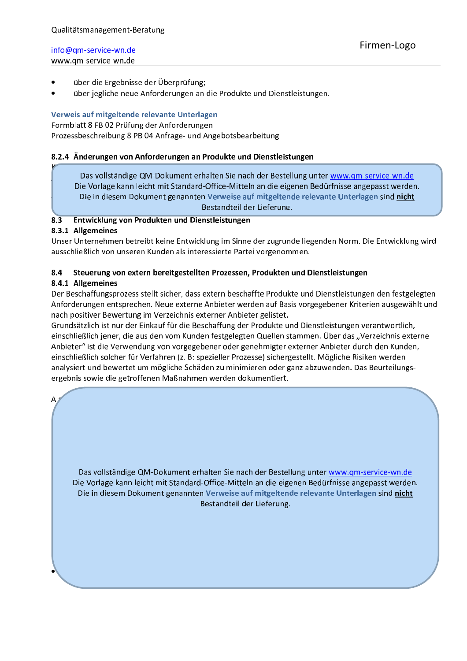- über die Ergebnisse der Überprüfung;
- über jegliche neue Anforderungen an die Produkte und Dienstleistungen.

### Verweis auf mitgeltende relevante Unterlagen

Formblatt 8 FB 02 Prüfung der Anforderungen Prozessbeschreibung 8 PB 04 Anfrage- und Angebotsbearbeitung

### 8.2.4 Änderungen von Anforderungen an Produkte und Dienstleistungen

Das vollständige QM-Dokument erhalten Sie nach der Bestellung unter www.qm-service-wn.de Die Vorlage kann leicht mit Standard-Office-Mitteln an die eigenen Bedürfnisse angepasst werden. Die in diesem Dokument genannten Verweise auf mitgeltende relevante Unterlagen sind nicht Bestandteil der Lieferung.

#### $8.\overline{3}$ Entwicklung von Produkten und Dienstleistungen

### 8.3.1 Allgemeines

Unser Unternehmen betreibt keine Entwicklung im Sinne der zugrunde liegenden Norm. Die Entwicklung wird ausschließlich von unseren Kunden als interessierte Partei vorgenommen.

#### 8.4 Steuerung von extern bereitgestellten Prozessen, Produkten und Dienstleistungen

### 8.4.1 Allgemeines

 $Al<sub>2</sub>$ 

Der Beschaffungsprozess stellt sicher, dass extern beschaffte Produkte und Dienstleistungen den festgelegten Anforderungen entsprechen. Neue externe Anbieter werden auf Basis vorgegebener Kriterien ausgewählt und nach positiver Bewertung im Verzeichnis externer Anbieter gelistet.

Grundsätzlich ist nur der Einkauf für die Beschaffung der Produkte und Dienstleistungen verantwortlich, einschließlich jener, die aus den vom Kunden festgelegten Quellen stammen. Über das "Verzeichnis externe Anbieter" ist die Verwendung von vorgegebener oder genehmigter externer Anbieter durch den Kunden, einschließlich solcher für Verfahren (z. B: spezieller Prozesse) sichergestellt. Mögliche Risiken werden analysiert und bewertet um mögliche Schäden zu minimieren oder ganz abzuwenden. Das Beurteilungsergebnis sowie die getroffenen Maßnahmen werden dokumentiert.

Das vollständige QM-Dokument erhalten Sie nach der Bestellung unter www.qm-service-wn.de Die Vorlage kann leicht mit Standard-Office-Mitteln an die eigenen Bedürfnisse angepasst werden. Die in diesem Dokument genannten Verweise auf mitgeltende relevante Unterlagen sind nicht Bestandteil der Lieferung.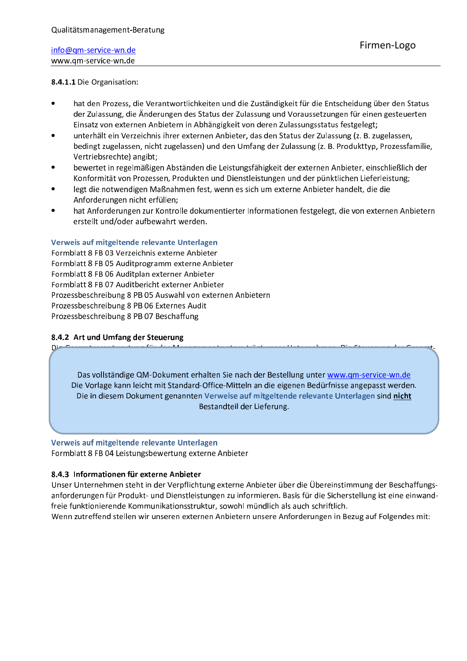### 8.4.1.1 Die Organisation:

- hat den Prozess, die Verantwortlichkeiten und die Zuständigkeit für die Entscheidung über den Status der Zulassung, die Änderungen des Status der Zulassung und Voraussetzungen für einen gesteuerten Einsatz von externen Anbietern in Abhängigkeit von deren Zulassungsstatus festgelegt;
- unterhält ein Verzeichnis ihrer externen Anbieter, das den Status der Zulassung (z. B. zugelassen, bedingt zugelassen, nicht zugelassen) und den Umfang der Zulassung (z. B. Produkttyp, Prozessfamilie, Vertriebsrechte) angibt;
- bewertet in regelmäßigen Abständen die Leistungsfähigkeit der externen Anbieter, einschließlich der Konformität von Prozessen, Produkten und Dienstleistungen und der pünktlichen Lieferleistung;
- legt die notwendigen Maßnahmen fest, wenn es sich um externe Anbieter handelt, die die Anforderungen nicht erfüllen;
- hat Anforderungen zur Kontrolle dokumentierter Informationen festgelegt, die von externen Anbietern erstellt und/oder aufbewahrt werden.

### Verweis auf mitgeltende relevante Unterlagen

Formblatt 8 FB 03 Verzeichnis externe Anbieter Formblatt 8 FB 05 Auditprogramm externe Anbieter Formblatt 8 FB 06 Auditplan externer Anbieter Formblatt 8 FB 07 Auditbericht externer Anbieter Prozessbeschreibung 8 PB 05 Auswahl von externen Anbietern Prozessbeschreibung 8 PB 06 Externes Audit Prozessbeschreibung 8 PB 07 Beschaffung

### 8.4.2 Art und Umfang der Steuerung

 $D^{\perp}$ 

Das vollständige QM-Dokument erhalten Sie nach der Bestellung unter www.gm-service-wn.de Die Vorlage kann leicht mit Standard-Office-Mitteln an die eigenen Bedürfnisse angepasst werden. Die in diesem Dokument genannten Verweise auf mitgeltende relevante Unterlagen sind nicht Bestandteil der Lieferung.

#### Verweis auf mitgeltende relevante Unterlagen

Formblatt 8 FB 04 Leistungsbewertung externe Anbieter

### 8.4.3 Informationen für externe Anbieter

Unser Unternehmen steht in der Verpflichtung externe Anbieter über die Übereinstimmung der Beschaffungsanforderungen für Produkt- und Dienstleistungen zu informieren. Basis für die Sicherstellung ist eine einwandfreie funktionierende Kommunikationsstruktur, sowohl mündlich als auch schriftlich.

Wenn zutreffend stellen wir unseren externen Anbietern unsere Anforderungen in Bezug auf Folgendes mit: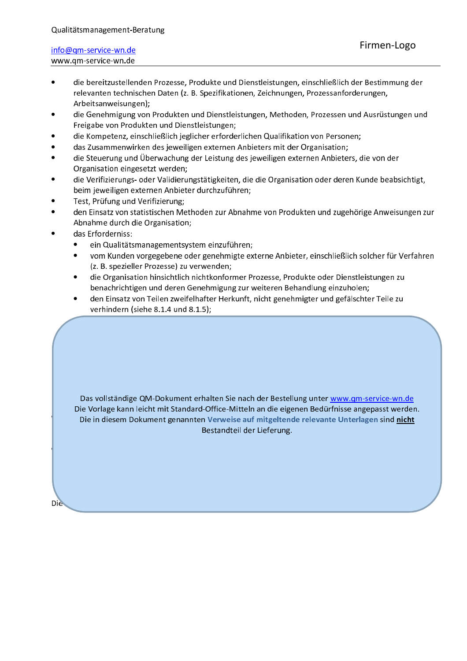- die bereitzustellenden Prozesse, Produkte und Dienstleistungen, einschließlich der Bestimmung der relevanten technischen Daten (z. B. Spezifikationen, Zeichnungen, Prozessanforderungen, Arbeitsanweisungen);
- die Genehmigung von Produkten und Dienstleistungen, Methoden, Prozessen und Ausrüstungen und Freigabe von Produkten und Dienstleistungen;
- die Kompetenz, einschließlich jeglicher erforderlichen Qualifikation von Personen;
- das Zusammenwirken des jeweiligen externen Anbieters mit der Organisation;
- die Steuerung und Überwachung der Leistung des jeweiligen externen Anbieters, die von der Organisation eingesetzt werden;
- die Verifizierungs- oder Validierungstätigkeiten, die die Organisation oder deren Kunde beabsichtigt, beim jeweiligen externen Anbieter durchzuführen;
- Test, Prüfung und Verifizierung;
- den Einsatz von statistischen Methoden zur Abnahme von Produkten und zugehörige Anweisungen zur Abnahme durch die Organisation;
- das Erforderniss:
	- $\bullet$ ein Qualitätsmanagementsystem einzuführen;
	- vom Kunden vorgegebene oder genehmigte externe Anbieter, einschließlich solcher für Verfahren (z. B. spezieller Prozesse) zu verwenden;
	- die Organisation hinsichtlich nichtkonformer Prozesse, Produkte oder Dienstleistungen zu benachrichtigen und deren Genehmigung zur weiteren Behandlung einzuholen;
	- den Einsatz von Teilen zweifelhafter Herkunft, nicht genehmigter und gefälschter Teile zu verhindern (siehe 8.1.4 und 8.1.5);

Das vollständige QM-Dokument erhalten Sie nach der Bestellung unter www.qm-service-wn.de Die Vorlage kann leicht mit Standard-Office-Mitteln an die eigenen Bedürfnisse angepasst werden. Die in diesem Dokument genannten Verweise auf mitgeltende relevante Unterlagen sind nicht Bestandteil der Lieferung.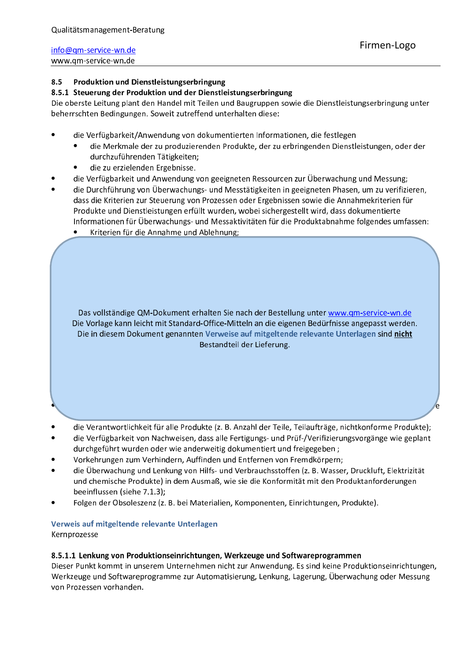#### $8.5$ Produktion und Dienstleistungserbringung

### 8.5.1 Steuerung der Produktion und der Dienstleistungserbringung

Die oberste Leitung plant den Handel mit Teilen und Baugruppen sowie die Dienstleistungserbringung unter beherrschten Bedingungen. Soweit zutreffend unterhalten diese:

- die Verfügbarkeit/Anwendung von dokumentierten Informationen, die festlegen
	- die Merkmale der zu produzierenden Produkte, der zu erbringenden Dienstleistungen, oder der  $\bullet$ durchzuführenden Tätigkeiten;
	- die zu erzielenden Ergebnisse.
- die Verfügbarkeit und Anwendung von geeigneten Ressourcen zur Überwachung und Messung;
- die Durchführung von Überwachungs- und Messtätigkeiten in geeigneten Phasen, um zu verifizieren, dass die Kriterien zur Steuerung von Prozessen oder Ergebnissen sowie die Annahmekriterien für Produkte und Dienstleistungen erfüllt wurden, wobei sichergestellt wird, dass dokumentierte Informationen für Überwachungs- und Messaktivitäten für die Produktabnahme folgendes umfassen:
	- $\bullet$ Kriterien für die Annahme und Ablehnung;

Das vollständige QM-Dokument erhalten Sie nach der Bestellung unter www.qm-service-wn.de Die Vorlage kann leicht mit Standard-Office-Mitteln an die eigenen Bedürfnisse angepasst werden. Die in diesem Dokument genannten Verweise auf mitgeltende relevante Unterlagen sind nicht Bestandteil der Lieferung.

- die Verantwortlichkeit für alle Produkte (z. B. Anzahl der Teile, Teilaufträge, nichtkonforme Produkte):
- die Verfügbarkeit von Nachweisen, dass alle Fertigungs- und Prüf-/Verifizierungsvorgänge wie geplant durchgeführt wurden oder wie anderweitig dokumentiert und freigegeben;
- Vorkehrungen zum Verhindern, Auffinden und Entfernen von Fremdkörpern;
- die Überwachung und Lenkung von Hilfs- und Verbrauchsstoffen (z. B. Wasser, Druckluft, Elektrizität und chemische Produkte) in dem Ausmaß, wie sie die Konformität mit den Produktanforderungen beeinflussen (siehe 7.1.3);
- Folgen der Obsoleszenz (z. B. bei Materialien, Komponenten, Einrichtungen, Produkte).

### Verweis auf mitgeltende relevante Unterlagen Kernprozesse

### 8.5.1.1 Lenkung von Produktionseinrichtungen, Werkzeuge und Softwareprogrammen

Dieser Punkt kommt in unserem Unternehmen nicht zur Anwendung. Es sind keine Produktionseinrichtungen. Werkzeuge und Softwareprogramme zur Automatisierung, Lenkung, Lagerung, Überwachung oder Messung von Prozessen vorhanden.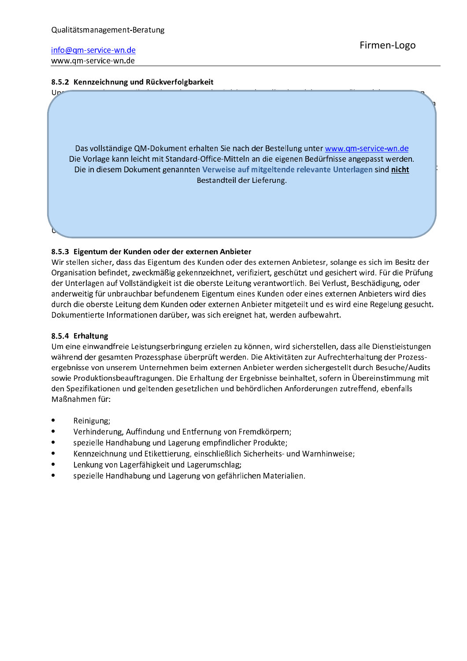#### 8.5.2 Kennzeichnung und Rückverfolgbarkeit



#### 8.5.3 Eigentum der Kunden oder der externen Anbieter

Wir stellen sicher, dass das Eigentum des Kunden oder des externen Anbietesr, solange es sich im Besitz der Organisation befindet, zweckmäßig gekennzeichnet, verifiziert, geschützt und gesichert wird. Für die Prüfung der Unterlagen auf Vollständigkeit ist die oberste Leitung verantwortlich. Bei Verlust, Beschädigung, oder anderweitig für unbrauchbar befundenem Eigentum eines Kunden oder eines externen Anbieters wird dies durch die oberste Leitung dem Kunden oder externen Anbieter mitgeteilt und es wird eine Regelung gesucht. Dokumentierte Informationen darüber, was sich ereignet hat, werden aufbewahrt.

#### 8.5.4 Erhaltung

Um eine einwandfreie Leistungserbringung erzielen zu können, wird sicherstellen, dass alle Dienstleistungen während der gesamten Prozessphase überprüft werden. Die Aktivitäten zur Aufrechterhaltung der Prozessergebnisse von unserem Unternehmen beim externen Anbieter werden sichergestellt durch Besuche/Audits sowie Produktionsbeauftragungen. Die Erhaltung der Ergebnisse beinhaltet, sofern in Übereinstimmung mit den Spezifikationen und geltenden gesetzlichen und behördlichen Anforderungen zutreffend, ebenfalls Maßnahmen für:

- Reinigung;
- Verhinderung, Auffindung und Entfernung von Fremdkörpern;
- spezielle Handhabung und Lagerung empfindlicher Produkte;
- Kennzeichnung und Etikettierung, einschließlich Sicherheits- und Warnhinweise;
- Lenkung von Lagerfähigkeit und Lagerumschlag;
- spezielle Handhabung und Lagerung von gefährlichen Materialien.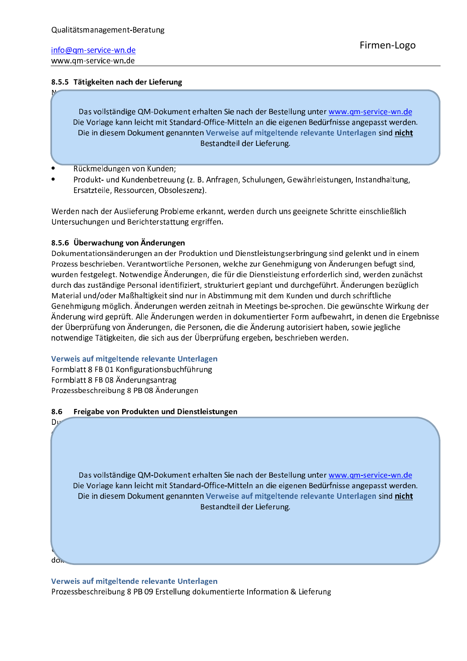### 8.5.5 Tätigkeiten nach der Lieferung

Das vollständige QM-Dokument erhalten Sie nach der Bestellung unter www.qm-service-wn.de Die Vorlage kann leicht mit Standard-Office-Mitteln an die eigenen Bedürfnisse angepasst werden. Die in diesem Dokument genannten Verweise auf mitgeltende relevante Unterlagen sind nicht Bestandteil der Lieferung.

- Rückmeldungen von Kunden;
- Produkt- und Kundenbetreuung (z. B. Anfragen, Schulungen, Gewährleistungen, Instandhaltung, Ersatzteile, Ressourcen, Obsoleszenz).

Werden nach der Auslieferung Probleme erkannt, werden durch uns geeignete Schritte einschließlich Untersuchungen und Berichterstattung ergriffen.

### 8.5.6 Überwachung von Änderungen

Dokumentationsänderungen an der Produktion und Dienstleistungserbringung sind gelenkt und in einem Prozess beschrieben. Verantwortliche Personen, welche zur Genehmigung von Änderungen befugt sind, wurden festgelegt. Notwendige Änderungen, die für die Dienstleistung erforderlich sind, werden zunächst durch das zuständige Personal identifiziert, strukturiert geplant und durchgeführt. Änderungen bezüglich Material und/oder Maßhaltigkeit sind nur in Abstimmung mit dem Kunden und durch schriftliche Genehmigung möglich. Änderungen werden zeitnah in Meetings be-sprochen. Die gewünschte Wirkung der Änderung wird geprüft. Alle Änderungen werden in dokumentierter Form aufbewahrt, in denen die Ergebnisse der Überprüfung von Änderungen, die Personen, die die Änderung autorisiert haben, sowie jegliche notwendige Tätigkeiten, die sich aus der Überprüfung ergeben, beschrieben werden.

#### Verweis auf mitgeltende relevante Unterlagen

Formblatt 8 FB 01 Konfigurationsbuchführung Formblatt 8 FB 08 Änderungsantrag Prozessbeschreibung 8 PB 08 Änderungen

Du

do.

#### 8.6 Freigabe von Produkten und Dienstleistungen

Das vollständige QM-Dokument erhalten Sie nach der Bestellung unter www.qm-service-wn.de Die Vorlage kann leicht mit Standard-Office-Mitteln an die eigenen Bedürfnisse angepasst werden. Die in diesem Dokument genannten Verweise auf mitgeltende relevante Unterlagen sind nicht Bestandteil der Lieferung.

Verweis auf mitgeltende relevante Unterlagen

Prozessbeschreibung 8 PB 09 Erstellung dokumentierte Information & Lieferung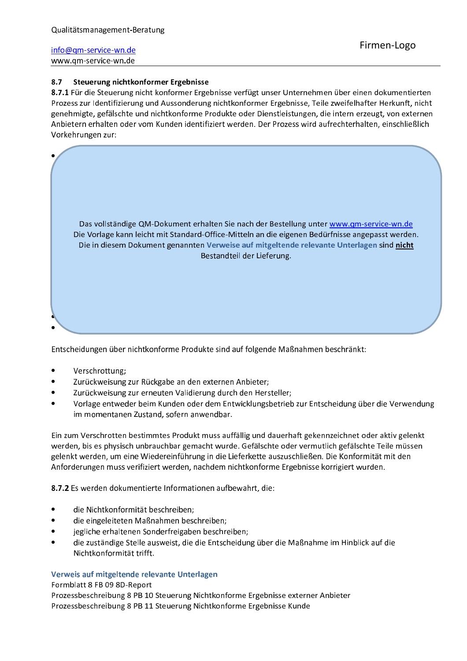#### $8.7$ Steuerung nichtkonformer Ergebnisse

8.7.1 Für die Steuerung nicht konformer Ergebnisse verfügt unser Unternehmen über einen dokumentierten Prozess zur Identifizierung und Aussonderung nichtkonformer Ergebnisse, Teile zweifelhafter Herkunft, nicht genehmigte, gefälschte und nichtkonforme Produkte oder Dienstleistungen, die intern erzeugt, von externen Anbietern erhalten oder vom Kunden identifiziert werden. Der Prozess wird aufrechterhalten, einschließlich Vorkehrungen zur:



Entscheidungen über nichtkonforme Produkte sind auf folgende Maßnahmen beschränkt:

- Verschrottung;
- Zurückweisung zur Rückgabe an den externen Anbieter;
- Zurückweisung zur erneuten Validierung durch den Hersteller;
- Vorlage entweder beim Kunden oder dem Entwicklungsbetrieb zur Entscheidung über die Verwendung im momentanen Zustand, sofern anwendbar.

Ein zum Verschrotten bestimmtes Produkt muss auffällig und dauerhaft gekennzeichnet oder aktiv gelenkt werden, bis es physisch unbrauchbar gemacht wurde. Gefälschte oder vermutlich gefälschte Teile müssen gelenkt werden, um eine Wiedereinführung in die Lieferkette auszuschließen. Die Konformität mit den Anforderungen muss verifiziert werden, nachdem nichtkonforme Ergebnisse korrigiert wurden.

8.7.2 Es werden dokumentierte Informationen aufbewahrt, die:

- die Nichtkonformität beschreiben;
- die eingeleiteten Maßnahmen beschreiben;
- jegliche erhaltenen Sonderfreigaben beschreiben;
- die zuständige Stelle ausweist, die die Entscheidung über die Maßnahme im Hinblick auf die Nichtkonformität trifft.

#### Verweis auf mitgeltende relevante Unterlagen

Formblatt 8 FB 09 8D-Report

Prozessbeschreibung 8 PB 10 Steuerung Nichtkonforme Ergebnisse externer Anbieter Prozessbeschreibung 8 PB 11 Steuerung Nichtkonforme Ergebnisse Kunde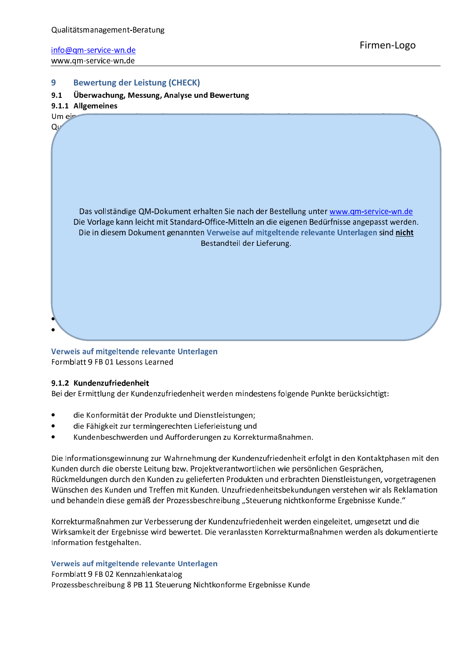#### 9 **Bewertung der Leistung (CHECK)**

#### $9.1$ Überwachung, Messung, Analyse und Bewertung

### 9.1.1 Allgemeines



### Verweis auf mitgeltende relevante Unterlagen Formblatt 9 FB 01 Lessons Learned

#### 9.1.2 Kundenzufriedenheit

Bei der Ermittlung der Kundenzufriedenheit werden mindestens folgende Punkte berücksichtigt:

- die Konformität der Produkte und Dienstleistungen;
- die Fähigkeit zur termingerechten Lieferleistung und
- Kundenbeschwerden und Aufforderungen zu Korrekturmaßnahmen.

Die Informationsgewinnung zur Wahrnehmung der Kundenzufriedenheit erfolgt in den Kontaktphasen mit den Kunden durch die oberste Leitung bzw. Projektverantwortlichen wie persönlichen Gesprächen, Rückmeldungen durch den Kunden zu gelieferten Produkten und erbrachten Dienstleistungen, vorgetragenen Wünschen des Kunden und Treffen mit Kunden. Unzufriedenheitsbekundungen verstehen wir als Reklamation und behandeln diese gemäß der Prozessbeschreibung "Steuerung nichtkonforme Ergebnisse Kunde."

Korrekturmaßnahmen zur Verbesserung der Kundenzufriedenheit werden eingeleitet, umgesetzt und die Wirksamkeit der Ergebnisse wird bewertet. Die veranlassten Korrekturmaßnahmen werden als dokumentierte Information festgehalten.

#### Verweis auf mitgeltende relevante Unterlagen

Formblatt 9 FB 02 Kennzahlenkatalog

Prozessbeschreibung 8 PB 11 Steuerung Nichtkonforme Ergebnisse Kunde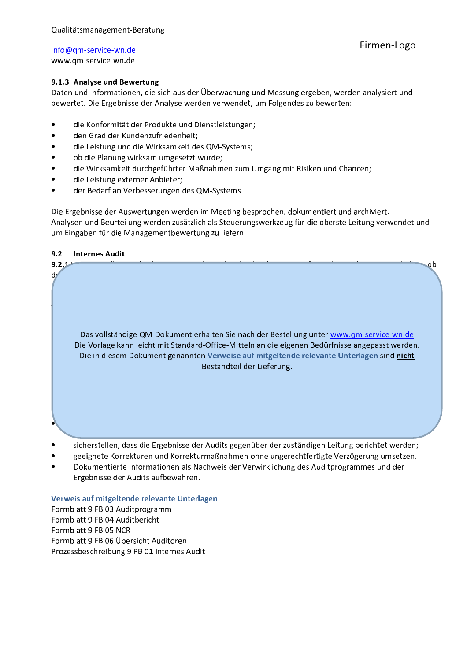### 9.1.3 Analyse und Bewertung

Daten und Informationen, die sich aus der Überwachung und Messung ergeben, werden analysiert und bewertet. Die Ergebnisse der Analyse werden verwendet, um Folgendes zu bewerten:

- die Konformität der Produkte und Dienstleistungen;
- den Grad der Kundenzufriedenheit;
- die Leistung und die Wirksamkeit des QM-Systems;
- ob die Planung wirksam umgesetzt wurde;
- die Wirksamkeit durchgeführter Maßnahmen zum Umgang mit Risiken und Chancen;
- die Leistung externer Anbieter;
- der Bedarf an Verbesserungen des QM-Systems.

Die Ergebnisse der Auswertungen werden im Meeting besprochen, dokumentiert und archiviert. Analysen und Beurteilung werden zusätzlich als Steuerungswerkzeug für die oberste Leitung verwendet und um Eingaben für die Managementbewertung zu liefern.

#### $9.2$ **Internes Audit**



- 
- geeignete Korrekturen und Korrekturmaßnahmen ohne ungerechtfertigte Verzögerung umsetzen.
- Dokumentierte Informationen als Nachweis der Verwirklichung des Auditprogrammes und der Ergebnisse der Audits aufbewahren.

### Verweis auf mitgeltende relevante Unterlagen

Formblatt 9 FB 03 Auditprogramm Formblatt 9 FB 04 Auditbericht Formblatt 9 FB 05 NCR Formblatt 9 FB 06 Übersicht Auditoren Prozessbeschreibung 9 PB 01 internes Audit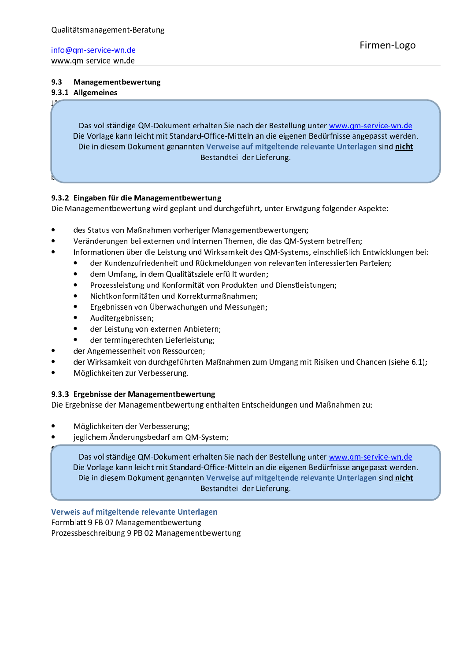#### $9.3$ Managementbewertung

### 9.3.1 Allgemeines

Das vollständige QM-Dokument erhalten Sie nach der Bestellung unter www.gm-service-wn.de Die Vorlage kann leicht mit Standard-Office-Mitteln an die eigenen Bedürfnisse angepasst werden. Die in diesem Dokument genannten Verweise auf mitgeltende relevante Unterlagen sind nicht Bestandteil der Lieferung.

### 9.3.2 Eingaben für die Managementbewertung

Die Managementbewertung wird geplant und durchgeführt, unter Erwägung folgender Aspekte:

- des Status von Maßnahmen vorheriger Managementbewertungen;
- Veränderungen bei externen und internen Themen, die das QM-System betreffen;
- Informationen über die Leistung und Wirksamkeit des QM-Systems, einschließlich Entwicklungen bei:
	- $\bullet$ der Kundenzufriedenheit und Rückmeldungen von relevanten interessierten Parteien;
		- dem Umfang, in dem Qualitätsziele erfüllt wurden;  $\bullet$
		- Prozessleistung und Konformität von Produkten und Dienstleistungen;
		- Nichtkonformitäten und Korrekturmaßnahmen;
		- $\bullet$ Ergebnissen von Überwachungen und Messungen;
		- Auditergebnissen;
		- der Leistung von externen Anbietern;
	- der termingerechten Lieferleistung;
	- der Angemessenheit von Ressourcen;
- der Wirksamkeit von durchgeführten Maßnahmen zum Umgang mit Risiken und Chancen (siehe 6.1);
- Möglichkeiten zur Verbesserung.

### 9.3.3 Ergebnisse der Managementbewertung

Die Ergebnisse der Managementbewertung enthalten Entscheidungen und Maßnahmen zu:

- Möglichkeiten der Verbesserung;
- jeglichem Änderungsbedarf am QM-System;

Das vollständige QM-Dokument erhalten Sie nach der Bestellung unter www.qm-service-wn.de Die Vorlage kann leicht mit Standard-Office-Mitteln an die eigenen Bedürfnisse angepasst werden. Die in diesem Dokument genannten Verweise auf mitgeltende relevante Unterlagen sind nicht Bestandteil der Lieferung.

Verweis auf mitgeltende relevante Unterlagen Formblatt 9 FB 07 Managementbewertung Prozessbeschreibung 9 PB 02 Managementbewertung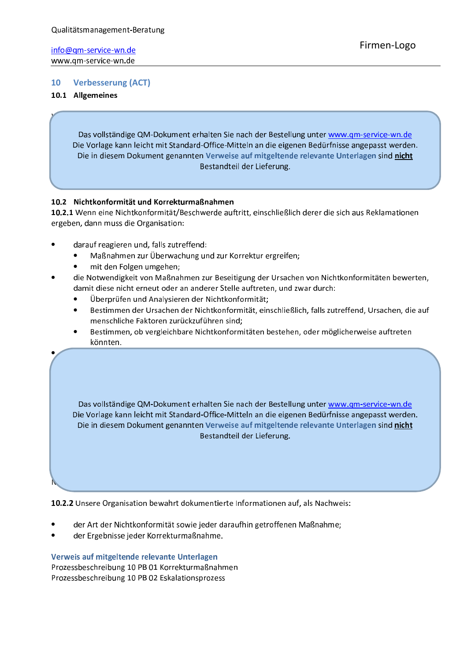#### $10<sup>1</sup>$ **Verbesserung (ACT)**

### 10.1 Allgemeines

Das vollständige QM-Dokument erhalten Sie nach der Bestellung unter www.gm-service-wn.de Die Vorlage kann leicht mit Standard-Office-Mitteln an die eigenen Bedürfnisse angepasst werden. Die in diesem Dokument genannten Verweise auf mitgeltende relevante Unterlagen sind nicht Bestandteil der Lieferung.

### 10.2 Nichtkonformität und Korrekturmaßnahmen

10.2.1 Wenn eine Nichtkonformität/Beschwerde auftritt, einschließlich derer die sich aus Reklamationen ergeben, dann muss die Organisation:

- darauf reagieren und, falls zutreffend:
	- Maßnahmen zur Überwachung und zur Korrektur ergreifen;
	- mit den Folgen umgehen;
- die Notwendigkeit von Maßnahmen zur Beseitigung der Ursachen von Nichtkonformitäten bewerten, damit diese nicht erneut oder an anderer Stelle auftreten, und zwar durch:
	- Überprüfen und Analysieren der Nichtkonformität;
	- Bestimmen der Ursachen der Nichtkonformität, einschließlich, falls zutreffend, Ursachen, die auf menschliche Faktoren zurückzuführen sind;
	- Bestimmen, ob vergleichbare Nichtkonformitäten bestehen, oder möglicherweise auftreten könnten.

Das vollständige QM-Dokument erhalten Sie nach der Bestellung unter www.qm-service-wn.de Die Vorlage kann leicht mit Standard-Office-Mitteln an die eigenen Bedürfnisse angepasst werden. Die in diesem Dokument genannten Verweise auf mitgeltende relevante Unterlagen sind nicht Bestandteil der Lieferung.

10.2.2 Unsere Organisation bewahrt dokumentierte Informationen auf, als Nachweis:

- der Art der Nichtkonformität sowie jeder daraufhin getroffenen Maßnahme;
- der Ergebnisse jeder Korrekturmaßnahme.

Verweis auf mitgeltende relevante Unterlagen Prozessbeschreibung 10 PB 01 Korrekturmaßnahmen Prozessbeschreibung 10 PB 02 Eskalationsprozess